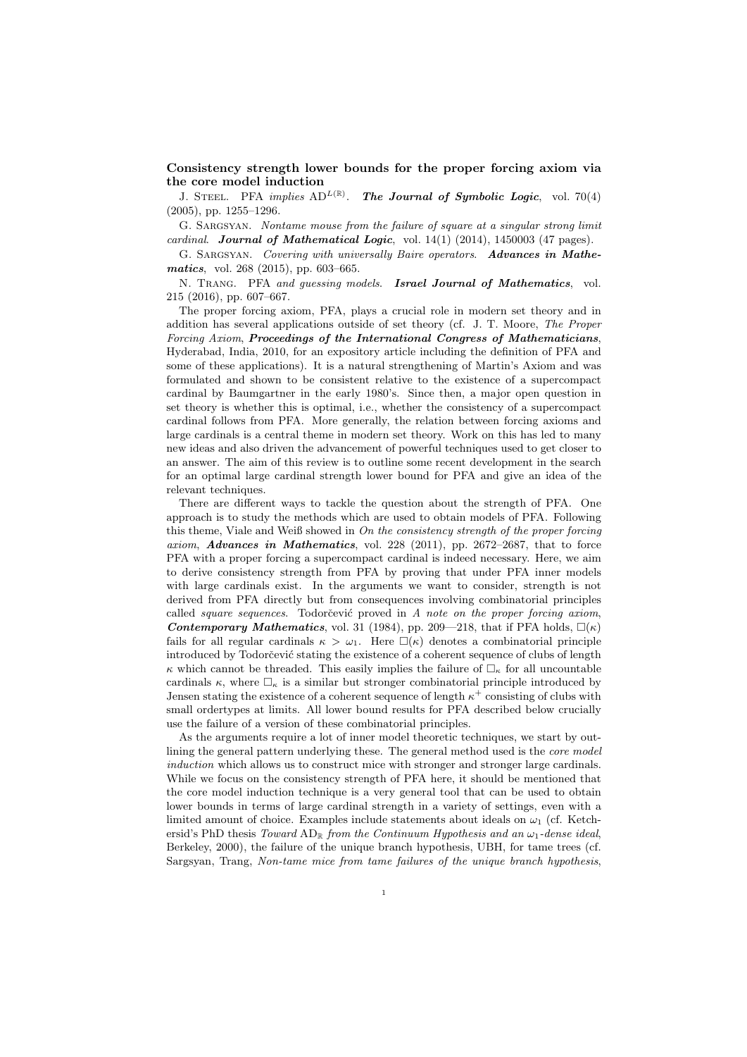Consistency strength lower bounds for the proper forcing axiom via the core model induction

J. STEEL. PFA implies  $AD^{L(\mathbb{R})}$ . The Journal of Symbolic Logic, vol. 70(4) (2005), pp. 1255–1296.

G. SARGSYAN. Nontame mouse from the failure of square at a singular strong limit cardinal. Journal of Mathematical Logic, vol.  $14(1)$  (2014), 1450003 (47 pages).

G. SARGSYAN. Covering with universally Baire operators. Advances in Mathematics, vol. 268 (2015), pp. 603-665.

N. TRANG. PFA and guessing models. Israel Journal of Mathematics, vol. 215 (2016), pp. 607–667.

The proper forcing axiom, PFA, plays a crucial role in modern set theory and in addition has several applications outside of set theory (cf. J. T. Moore, The Proper Forcing Axiom, Proceedings of the International Congress of Mathematicians, Hyderabad, India, 2010, for an expository article including the definition of PFA and some of these applications). It is a natural strengthening of Martin's Axiom and was formulated and shown to be consistent relative to the existence of a supercompact cardinal by Baumgartner in the early 1980's. Since then, a major open question in set theory is whether this is optimal, i.e., whether the consistency of a supercompact cardinal follows from PFA. More generally, the relation between forcing axioms and large cardinals is a central theme in modern set theory. Work on this has led to many new ideas and also driven the advancement of powerful techniques used to get closer to an answer. The aim of this review is to outline some recent development in the search for an optimal large cardinal strength lower bound for PFA and give an idea of the relevant techniques.

There are different ways to tackle the question about the strength of PFA. One approach is to study the methods which are used to obtain models of PFA. Following this theme, Viale and Weiß showed in  $\overline{On}$  the consistency strength of the proper forcing axiom, Advances in Mathematics, vol. 228 (2011), pp. 2672–2687, that to force PFA with a proper forcing a supercompact cardinal is indeed necessary. Here, we aim to derive consistency strength from PFA by proving that under PFA inner models with large cardinals exist. In the arguments we want to consider, strength is not derived from PFA directly but from consequences involving combinatorial principles called square sequences. Todorčević proved in  $A$  note on the proper forcing axiom, Contemporary Mathematics, vol. 31 (1984), pp. 209—218, that if PFA holds,  $\square(\kappa)$ fails for all regular cardinals  $\kappa > \omega_1$ . Here  $\Box(\kappa)$  denotes a combinatorial principle introduced by Todorčević stating the existence of a coherent sequence of clubs of length κ which cannot be threaded. This easily implies the failure of  $\Box_{\kappa}$  for all uncountable cardinals  $\kappa$ , where  $\Box_{\kappa}$  is a similar but stronger combinatorial principle introduced by Jensen stating the existence of a coherent sequence of length  $\kappa^+$  consisting of clubs with small ordertypes at limits. All lower bound results for PFA described below crucially use the failure of a version of these combinatorial principles.

As the arguments require a lot of inner model theoretic techniques, we start by outlining the general pattern underlying these. The general method used is the *core model* induction which allows us to construct mice with stronger and stronger large cardinals. While we focus on the consistency strength of PFA here, it should be mentioned that the core model induction technique is a very general tool that can be used to obtain lower bounds in terms of large cardinal strength in a variety of settings, even with a limited amount of choice. Examples include statements about ideals on  $\omega_1$  (cf. Ketchersid's PhD thesis Toward AD<sub>R</sub> from the Continuum Hypothesis and an  $\omega_1$ -dense ideal, Berkeley, 2000), the failure of the unique branch hypothesis, UBH, for tame trees (cf. Sargsyan, Trang, Non-tame mice from tame failures of the unique branch hypothesis,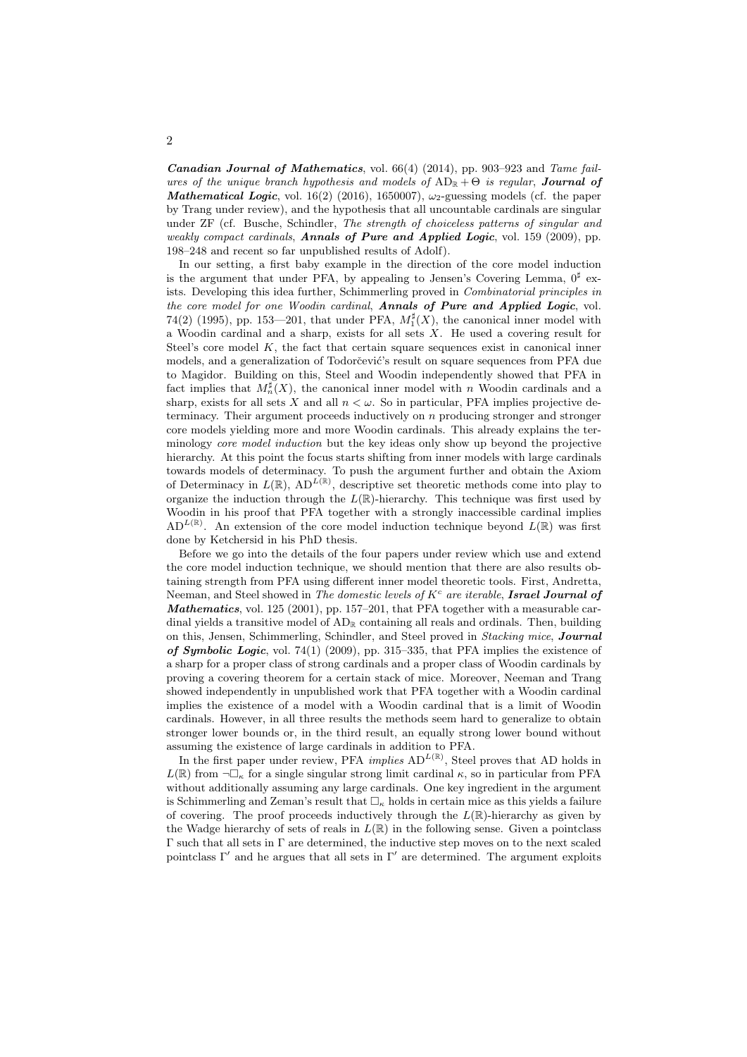Canadian Journal of Mathematics, vol. 66(4) (2014), pp. 903–923 and Tame failures of the unique branch hypothesis and models of  $AD_R + \Theta$  is regular, **Journal of Mathematical Logic, vol.** 16(2) (2016), 1650007),  $\omega_2$ -guessing models (cf. the paper by Trang under review), and the hypothesis that all uncountable cardinals are singular under ZF (cf. Busche, Schindler, The strength of choiceless patterns of singular and weakly compact cardinals, **Annals of Pure and Applied Logic**, vol. 159 (2009), pp. 198–248 and recent so far unpublished results of Adolf).

In our setting, a first baby example in the direction of the core model induction is the argument that under PFA, by appealing to Jensen's Covering Lemma,  $0^{\sharp}$  exists. Developing this idea further, Schimmerling proved in Combinatorial principles in the core model for one Woodin cardinal, Annals of Pure and Applied Logic, vol. 74(2) (1995), pp. 153—201, that under PFA,  $M_1^{\sharp}(X)$ , the canonical inner model with a Woodin cardinal and a sharp, exists for all sets X. He used a covering result for Steel's core model  $K$ , the fact that certain square sequences exist in canonical inner models, and a generalization of Todorčević's result on square sequences from PFA due to Magidor. Building on this, Steel and Woodin independently showed that PFA in fact implies that  $M_n^{\sharp}(X)$ , the canonical inner model with n Woodin cardinals and a sharp, exists for all sets X and all  $n < \omega$ . So in particular, PFA implies projective determinacy. Their argument proceeds inductively on n producing stronger and stronger core models yielding more and more Woodin cardinals. This already explains the terminology core model induction but the key ideas only show up beyond the projective hierarchy. At this point the focus starts shifting from inner models with large cardinals towards models of determinacy. To push the argument further and obtain the Axiom of Determinacy in  $L(\mathbb{R})$ , AD<sup>L(R)</sup>, descriptive set theoretic methods come into play to organize the induction through the  $L(\mathbb{R})$ -hierarchy. This technique was first used by Woodin in his proof that PFA together with a strongly inaccessible cardinal implies  $AD^{L(\mathbb{R})}$ . An extension of the core model induction technique beyond  $L(\mathbb{R})$  was first done by Ketchersid in his PhD thesis.

Before we go into the details of the four papers under review which use and extend the core model induction technique, we should mention that there are also results obtaining strength from PFA using different inner model theoretic tools. First, Andretta, Neeman, and Steel showed in The domestic levels of  $K^c$  are iterable, Israel Journal of Mathematics, vol. 125 (2001), pp. 157–201, that PFA together with a measurable cardinal yields a transitive model of  $AD_R$  containing all reals and ordinals. Then, building on this, Jensen, Schimmerling, Schindler, and Steel proved in Stacking mice, Journal of Symbolic Logic, vol. 74(1) (2009), pp. 315–335, that PFA implies the existence of a sharp for a proper class of strong cardinals and a proper class of Woodin cardinals by proving a covering theorem for a certain stack of mice. Moreover, Neeman and Trang showed independently in unpublished work that PFA together with a Woodin cardinal implies the existence of a model with a Woodin cardinal that is a limit of Woodin cardinals. However, in all three results the methods seem hard to generalize to obtain stronger lower bounds or, in the third result, an equally strong lower bound without assuming the existence of large cardinals in addition to PFA.

In the first paper under review, PFA *implies*  $AD^{L(\mathbb{R})}$ , Steel proves that AD holds in  $L(\mathbb{R})$  from  $\neg\Box_{\kappa}$  for a single singular strong limit cardinal  $\kappa$ , so in particular from PFA without additionally assuming any large cardinals. One key ingredient in the argument is Schimmerling and Zeman's result that  $\Box_{\kappa}$  holds in certain mice as this yields a failure of covering. The proof proceeds inductively through the  $L(\mathbb{R})$ -hierarchy as given by the Wadge hierarchy of sets of reals in  $L(\mathbb{R})$  in the following sense. Given a pointclass Γ such that all sets in Γ are determined, the inductive step moves on to the next scaled pointclass  $\Gamma'$  and he argues that all sets in  $\Gamma'$  are determined. The argument exploits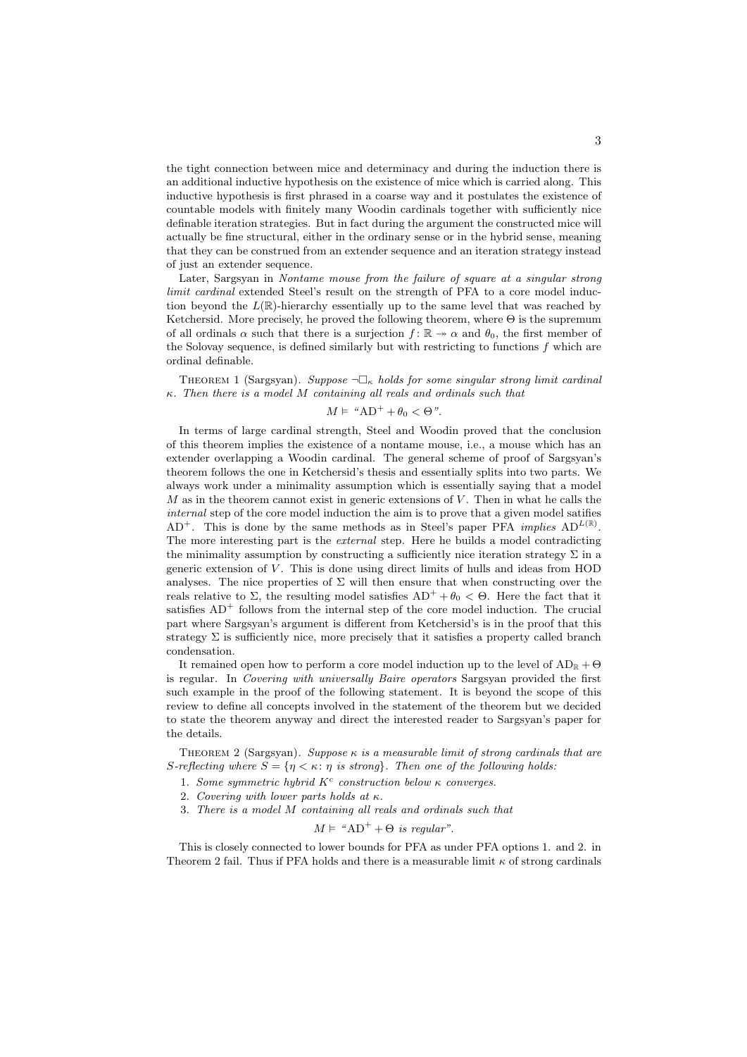the tight connection between mice and determinacy and during the induction there is an additional inductive hypothesis on the existence of mice which is carried along. This inductive hypothesis is first phrased in a coarse way and it postulates the existence of countable models with finitely many Woodin cardinals together with sufficiently nice definable iteration strategies. But in fact during the argument the constructed mice will actually be fine structural, either in the ordinary sense or in the hybrid sense, meaning that they can be construed from an extender sequence and an iteration strategy instead of just an extender sequence.

Later, Sargsyan in Nontame mouse from the failure of square at a singular strong limit cardinal extended Steel's result on the strength of PFA to a core model induction beyond the  $L(\mathbb{R})$ -hierarchy essentially up to the same level that was reached by Ketchersid. More precisely, he proved the following theorem, where  $\Theta$  is the supremum of all ordinals  $\alpha$  such that there is a surjection  $f: \mathbb{R} \to \alpha$  and  $\theta_0$ , the first member of the Solovay sequence, is defined similarly but with restricting to functions  $f$  which are ordinal definable.

THEOREM 1 (Sargsyan). Suppose  $\neg \Box_{\kappa}$  holds for some singular strong limit cardinal κ. Then there is a model M containing all reals and ordinals such that

$$
M \vDash \text{``AD}^+ + \theta_0 < \Theta\text{''}.
$$

In terms of large cardinal strength, Steel and Woodin proved that the conclusion of this theorem implies the existence of a nontame mouse, i.e., a mouse which has an extender overlapping a Woodin cardinal. The general scheme of proof of Sargsyan's theorem follows the one in Ketchersid's thesis and essentially splits into two parts. We always work under a minimality assumption which is essentially saying that a model  $M$  as in the theorem cannot exist in generic extensions of  $V$ . Then in what he calls the internal step of the core model induction the aim is to prove that a given model satifies  $AD^+$ . This is done by the same methods as in Steel's paper PFA *implies*  $AD^{L(\mathbb{R})}$ . The more interesting part is the external step. Here he builds a model contradicting the minimality assumption by constructing a sufficiently nice iteration strategy  $\Sigma$  in a generic extension of  $\hat{V}$ . This is done using direct limits of hulls and ideas from HOD analyses. The nice properties of  $\Sigma$  will then ensure that when constructing over the reals relative to  $\Sigma$ , the resulting model satisfies  $AD^+ + \theta_0 < \Theta$ . Here the fact that it satisfies  $AD^+$  follows from the internal step of the core model induction. The crucial part where Sargsyan's argument is different from Ketchersid's is in the proof that this strategy  $\Sigma$  is sufficiently nice, more precisely that it satisfies a property called branch condensation.

It remained open how to perform a core model induction up to the level of  $AD_{\mathbb{R}} + \Theta$ is regular. In Covering with universally Baire operators Sargsyan provided the first such example in the proof of the following statement. It is beyond the scope of this review to define all concepts involved in the statement of the theorem but we decided to state the theorem anyway and direct the interested reader to Sargsyan's paper for the details.

THEOREM 2 (Sargsyan). Suppose  $\kappa$  is a measurable limit of strong cardinals that are S-reflecting where  $S = \{ \eta < \kappa : \eta \text{ is strong} \}$ . Then one of the following holds:

1. Some symmetric hybrid  $K^c$  construction below  $\kappa$  converges.

- 2. Covering with lower parts holds at  $\kappa$ .
- 3. There is a model M containing all reals and ordinals such that

 $M \vDash$  " $AD^+ + \Theta$  is regular".

This is closely connected to lower bounds for PFA as under PFA options 1. and 2. in Theorem 2 fail. Thus if PFA holds and there is a measurable limit  $\kappa$  of strong cardinals